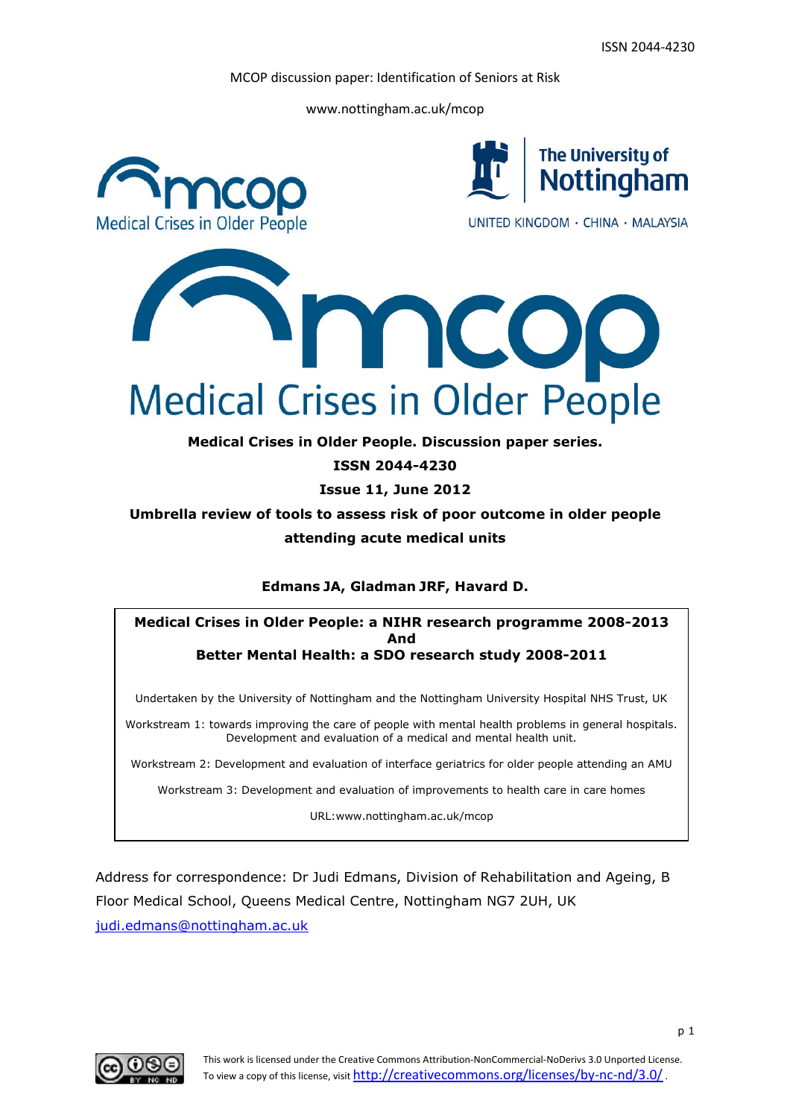www.nottingham.ac.uk/mcop



**ISSN 2044-4230**

**Issue 11, June 2012**

**Umbrella review of tools to assess risk of poor outcome in older people attending acute medical units**

**Edmans JA, Gladman JRF, Havard D.**

**Medical Crises in Older People: a NIHR research programme 2008-2013 And Better Mental Health: a SDO research study 2008-2011**

Undertaken by the University of Nottingham and the Nottingham University Hospital NHS Trust, UK

Workstream 1: towards improving the care of people with mental health problems in general hospitals. Development and evaluation of a medical and mental health unit.

Workstream 2: Development and evaluation of interface geriatrics for older people attending an AMU

Workstream 3: Development and evaluation of improvements to health care in care homes

URL:www.nottingham.ac.uk/mcop

Address for correspondence: Dr Judi Edmans, Division of Rehabilitation and Ageing, B Floor Medical School, Queens Medical Centre, Nottingham NG7 2UH, UK judi.edmans@nottingham.ac.uk

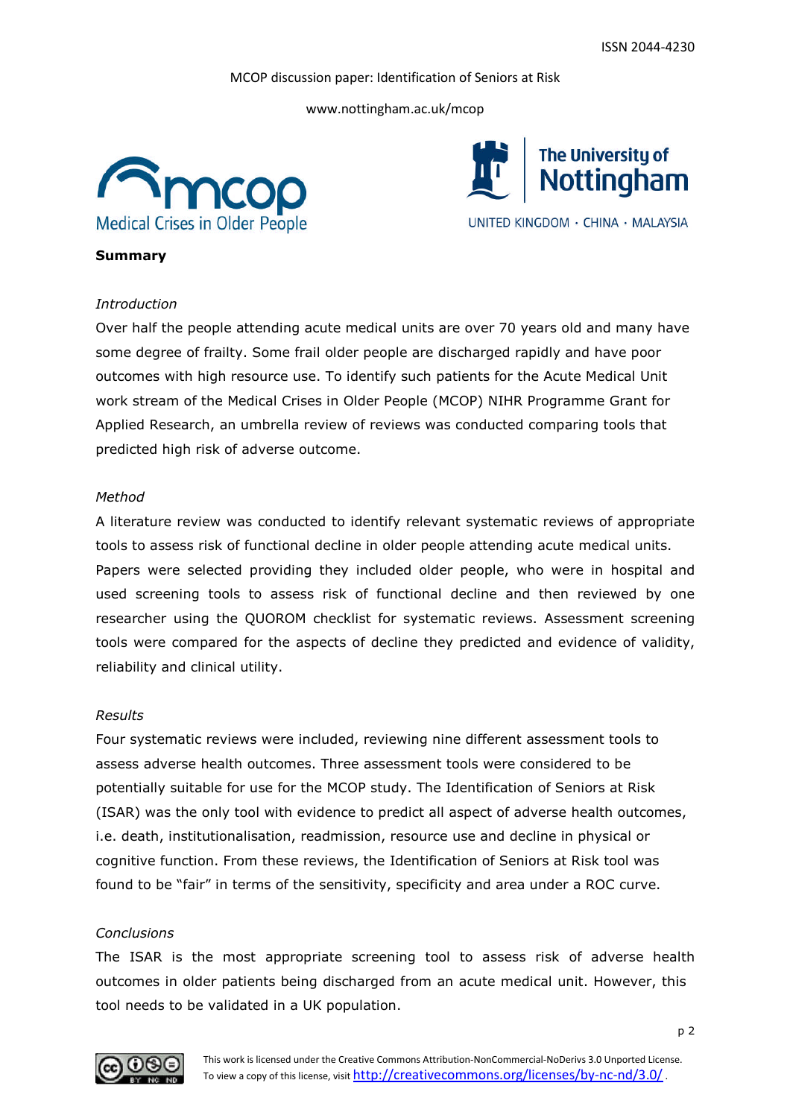www.nottingham.ac.uk/mcop





#### **Summary**

#### *Introduction*

Over half the people attending acute medical units are over 70 years old and many have some degree of frailty. Some frail older people are discharged rapidly and have poor outcomes with high resource use. To identify such patients for the Acute Medical Unit work stream of the Medical Crises in Older People (MCOP) NIHR Programme Grant for Applied Research, an umbrella review of reviews was conducted comparing tools that predicted high risk of adverse outcome.

#### *Method*

A literature review was conducted to identify relevant systematic reviews of appropriate tools to assess risk of functional decline in older people attending acute medical units. Papers were selected providing they included older people, who were in hospital and used screening tools to assess risk of functional decline and then reviewed by one researcher using the QUOROM checklist for systematic reviews. Assessment screening tools were compared for the aspects of decline they predicted and evidence of validity, reliability and clinical utility.

#### *Results*

Four systematic reviews were included, reviewing nine different assessment tools to assess adverse health outcomes. Three assessment tools were considered to be potentially suitable for use for the MCOP study. The Identification of Seniors at Risk (ISAR) was the only tool with evidence to predict all aspect of adverse health outcomes, i.e. death, institutionalisation, readmission, resource use and decline in physical or cognitive function. From these reviews, the Identification of Seniors at Risk tool was found to be "fair" in terms of the sensitivity, specificity and area under a ROC curve.

#### *Conclusions*

The ISAR is the most appropriate screening tool to assess risk of adverse health outcomes in older patients being discharged from an acute medical unit. However, this tool needs to be validated in a UK population.

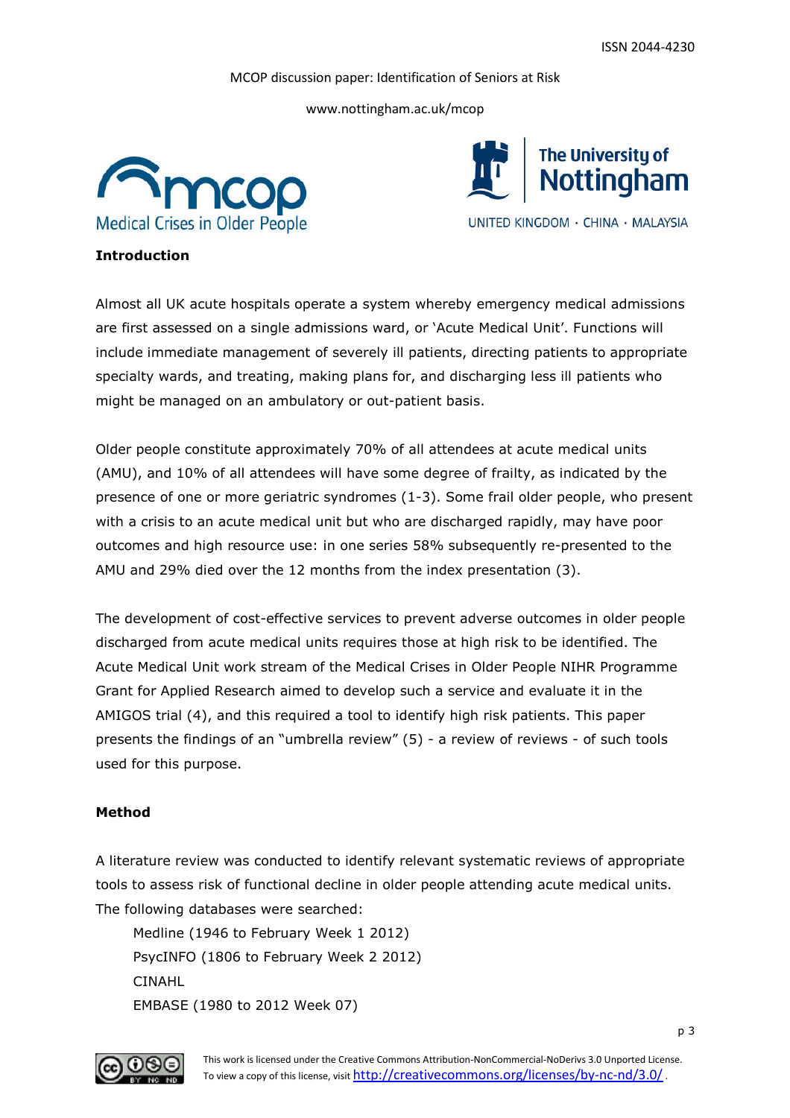www.nottingham.ac.uk/mcop





# **Introduction**

Almost all UK acute hospitals operate a system whereby emergency medical admissions are first assessed on a single admissions ward, or 'Acute Medical Unit'. Functions will include immediate management of severely ill patients, directing patients to appropriate specialty wards, and treating, making plans for, and discharging less ill patients who might be managed on an ambulatory or out-patient basis.

Older people constitute approximately 70% of all attendees at acute medical units (AMU), and 10% of all attendees will have some degree of frailty, as indicated by the presence of one or more geriatric syndromes (1-3). Some frail older people, who present with a crisis to an acute medical unit but who are discharged rapidly, may have poor outcomes and high resource use: in one series 58% subsequently re-presented to the AMU and 29% died over the 12 months from the index presentation (3).

The development of cost-effective services to prevent adverse outcomes in older people discharged from acute medical units requires those at high risk to be identified. The Acute Medical Unit work stream of the Medical Crises in Older People NIHR Programme Grant for Applied Research aimed to develop such a service and evaluate it in the AMIGOS trial (4), and this required a tool to identify high risk patients. This paper presents the findings of an "umbrella review" (5) - a review of reviews - of such tools used for this purpose.

#### **Method**

A literature review was conducted to identify relevant systematic reviews of appropriate tools to assess risk of functional decline in older people attending acute medical units. The following databases were searched:

Medline (1946 to February Week 1 2012) PsycINFO (1806 to February Week 2 2012) CINAHL EMBASE (1980 to 2012 Week 07)

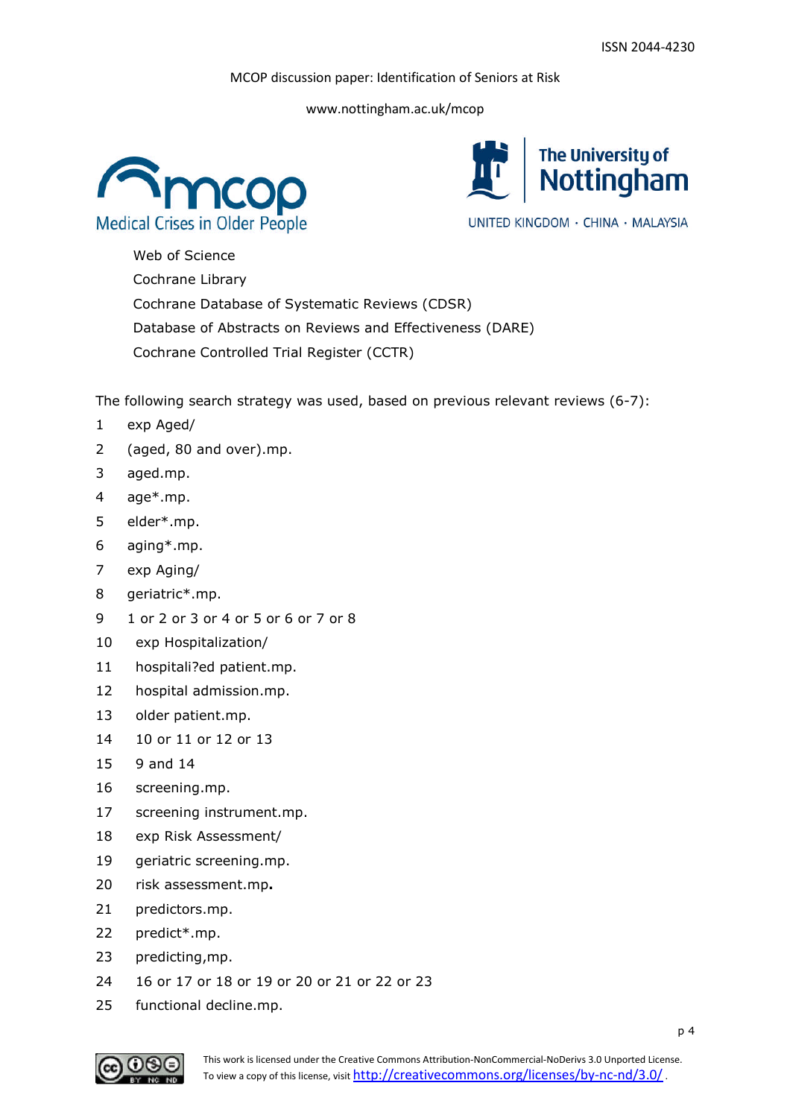www.nottingham.ac.uk/mcop





Web of Science Cochrane Library Cochrane Database of Systematic Reviews (CDSR) Database of Abstracts on Reviews and Effectiveness (DARE) Cochrane Controlled Trial Register (CCTR)

The following search strategy was used, based on previous relevant reviews (6-7):

- 1 exp Aged/
- 2 (aged, 80 and over).mp.
- 3 aged.mp.
- 4 age\*.mp.
- 5 elder\*.mp.
- 6 aging\*.mp.
- 7 exp Aging/
- 8 geriatric\*.mp.
- 9 1 or 2 or 3 or 4 or 5 or 6 or 7 or 8
- 10 exp Hospitalization/
- 11 hospitali?ed patient.mp.
- 12 hospital admission.mp.
- 13 older patient.mp.
- 14 10 or 11 or 12 or 13
- 15 9 and 14
- 16 screening.mp.
- 17 screening instrument.mp.
- 18 exp Risk Assessment/
- 19 geriatric screening.mp.
- 20 risk assessment.mp**.**
- 21 predictors.mp.
- 22 predict\*.mp.
- 23 predicting,mp.
- 24 16 or 17 or 18 or 19 or 20 or 21 or 22 or 23
- 25 functional decline.mp.

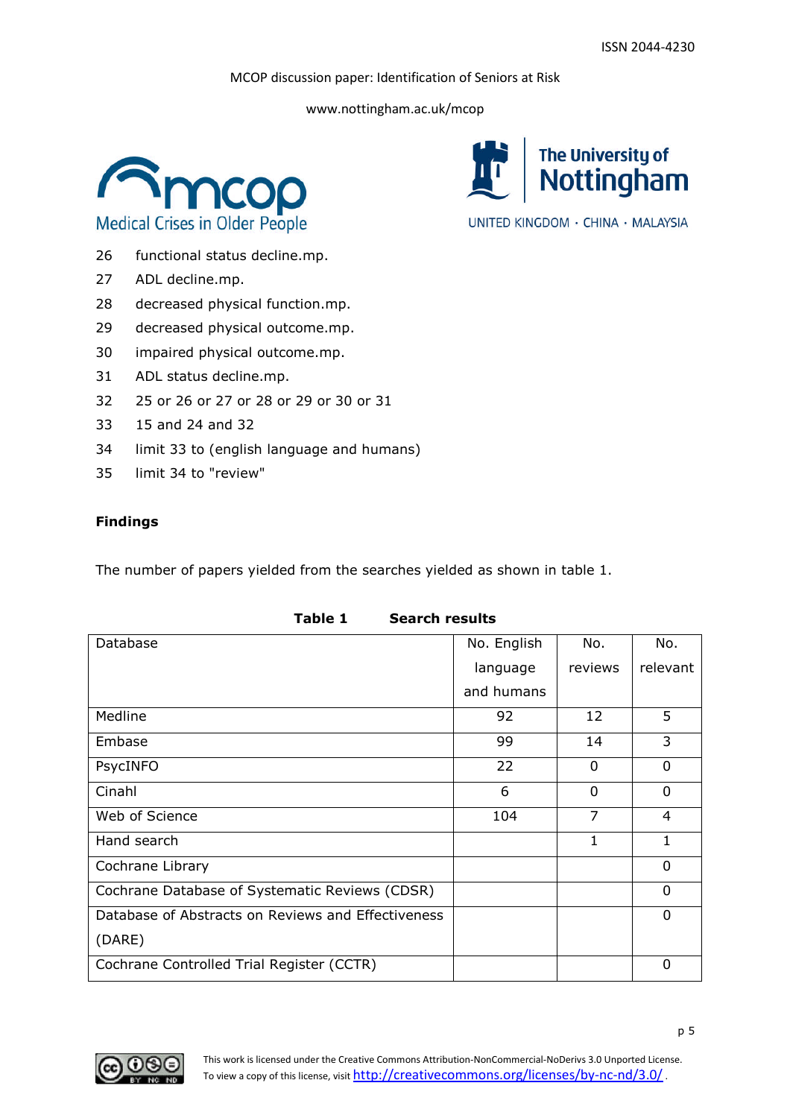The University of<br>Nottingham

UNITED KINGDOM · CHINA · MALAYSIA

MCOP discussion paper: Identification of Seniors at Risk

www.nottingham.ac.uk/mcop



- 26 functional status decline.mp.
- 27 ADL decline.mp.
- 28 decreased physical function.mp.
- 29 decreased physical outcome.mp.
- 30 impaired physical outcome.mp.
- 31 ADL status decline.mp.
- 32 25 or 26 or 27 or 28 or 29 or 30 or 31
- 33 15 and 24 and 32
- 34 limit 33 to (english language and humans)
- 35 limit 34 to "review"

# **Findings**

The number of papers yielded from the searches yielded as shown in table 1.

| Database                                           | No. English | No.      | No.      |
|----------------------------------------------------|-------------|----------|----------|
|                                                    | language    | reviews  | relevant |
|                                                    | and humans  |          |          |
| Medline                                            | 92          | 12       | 5        |
| Embase                                             | 99          | 14       | 3        |
| PsycINFO                                           | 22          | $\Omega$ | 0        |
| Cinahl                                             | 6           | $\Omega$ | 0        |
| Web of Science                                     | 104         | 7        | 4        |
| Hand search                                        |             | 1        | 1        |
| Cochrane Library                                   |             |          | $\Omega$ |
| Cochrane Database of Systematic Reviews (CDSR)     |             |          | 0        |
| Database of Abstracts on Reviews and Effectiveness |             |          | $\Omega$ |
| (DARE)                                             |             |          |          |
| Cochrane Controlled Trial Register (CCTR)          |             |          | 0        |

**Table 1 Search results**

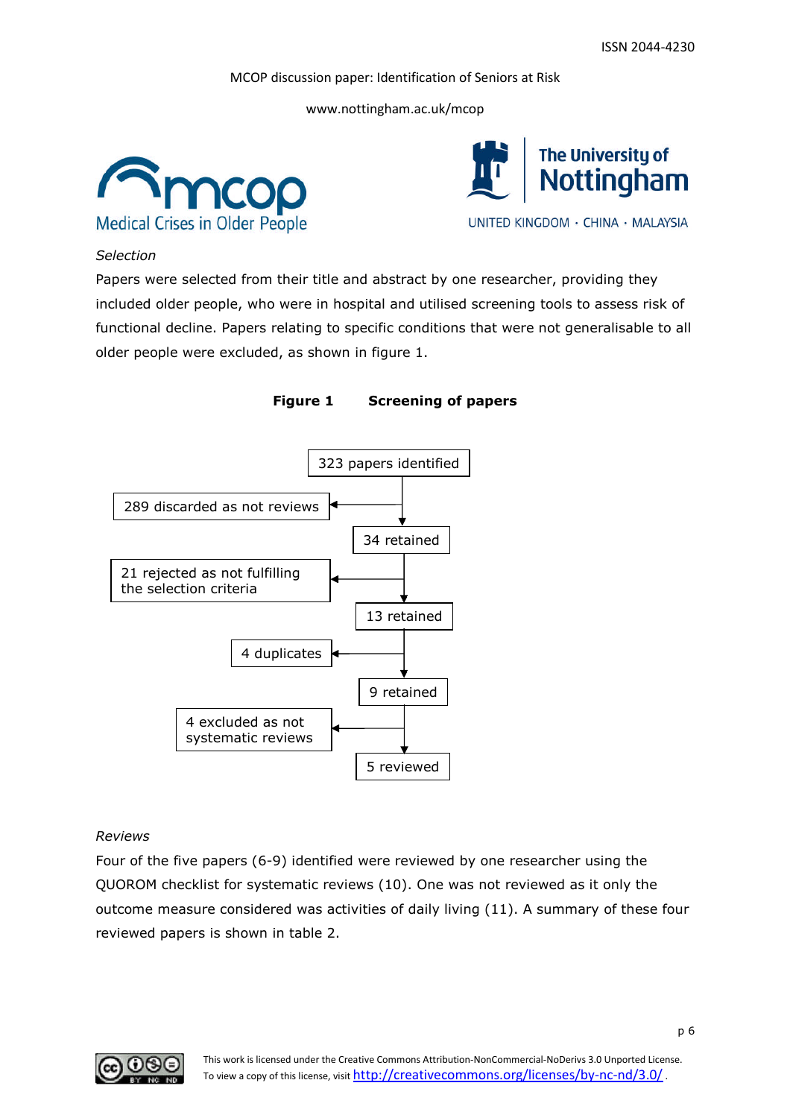www.nottingham.ac.uk/mcop





### *Selection*

Papers were selected from their title and abstract by one researcher, providing they included older people, who were in hospital and utilised screening tools to assess risk of functional decline. Papers relating to specific conditions that were not generalisable to all older people were excluded, as shown in figure 1.





# *Reviews*

Four of the five papers (6-9) identified were reviewed by one researcher using the QUOROM checklist for systematic reviews (10). One was not reviewed as it only the outcome measure considered was activities of daily living (11). A summary of these four reviewed papers is shown in table 2.

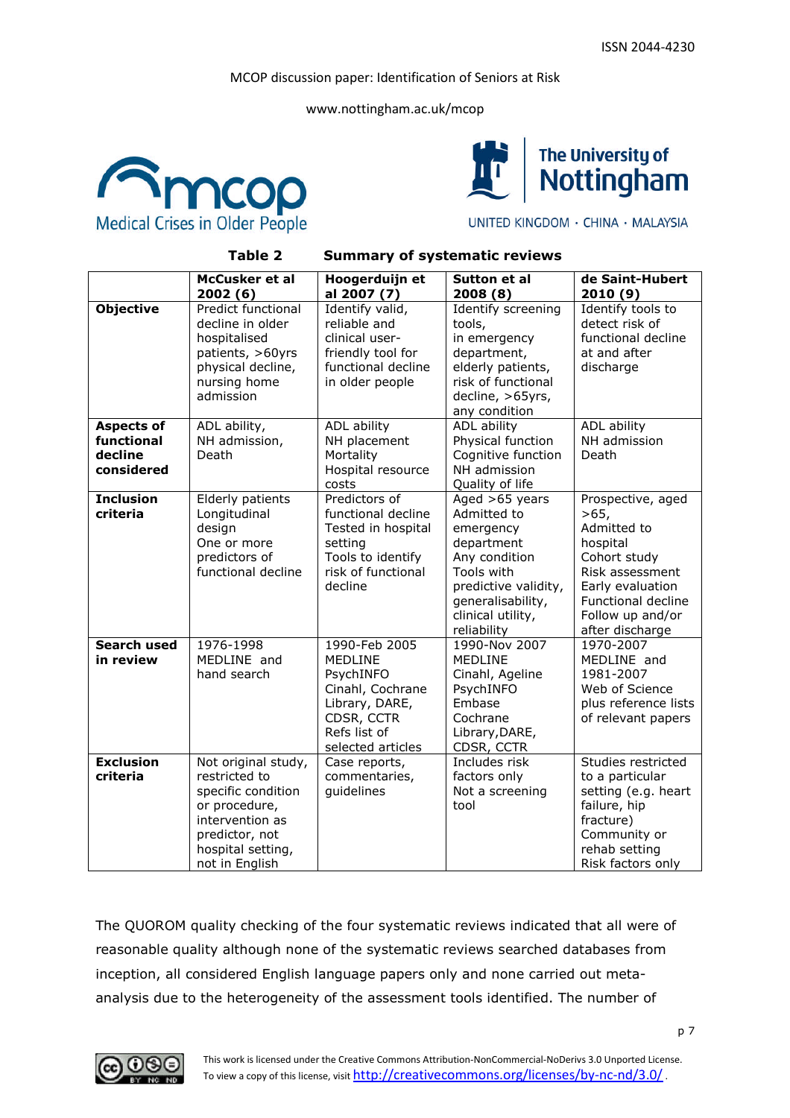www.nottingham.ac.uk/mcop





UNITED KINGDOM · CHINA · MALAYSIA

**Table 2 Summary of systematic reviews**

|                                                          | McCusker et al<br>2002(6)                                                                                                                               | Hoogerduijn et<br>al 2007 (7)                                                                                                         | Sutton et al<br>2008(8)                                                                                                                                                  | de Saint-Hubert<br>2010(9)                                                                                                                                               |
|----------------------------------------------------------|---------------------------------------------------------------------------------------------------------------------------------------------------------|---------------------------------------------------------------------------------------------------------------------------------------|--------------------------------------------------------------------------------------------------------------------------------------------------------------------------|--------------------------------------------------------------------------------------------------------------------------------------------------------------------------|
| <b>Objective</b>                                         | Predict functional<br>decline in older<br>hospitalised<br>patients, >60yrs<br>physical decline,<br>nursing home<br>admission                            | Identify valid,<br>reliable and<br>clinical user-<br>friendly tool for<br>functional decline<br>in older people                       | Identify screening<br>tools,<br>in emergency<br>department,<br>elderly patients,<br>risk of functional<br>decline, >65yrs,<br>any condition                              | Identify tools to<br>detect risk of<br>functional decline<br>at and after<br>discharge                                                                                   |
| <b>Aspects of</b><br>functional<br>decline<br>considered | ADL ability,<br>NH admission,<br>Death                                                                                                                  | ADL ability<br>NH placement<br>Mortality<br>Hospital resource<br>costs                                                                | ADL ability<br>Physical function<br>Cognitive function<br>NH admission<br>Quality of life                                                                                | ADL ability<br>NH admission<br>Death                                                                                                                                     |
| <b>Inclusion</b><br>criteria                             | Elderly patients<br>Longitudinal<br>design<br>One or more<br>predictors of<br>functional decline                                                        | Predictors of<br>functional decline<br>Tested in hospital<br>setting<br>Tools to identify<br>risk of functional<br>decline            | Aged >65 years<br>Admitted to<br>emergency<br>department<br>Any condition<br>Tools with<br>predictive validity,<br>generalisability,<br>clinical utility,<br>reliability | Prospective, aged<br>>65.<br>Admitted to<br>hospital<br>Cohort study<br>Risk assessment<br>Early evaluation<br>Functional decline<br>Follow up and/or<br>after discharge |
| <b>Search used</b><br>in review                          | 1976-1998<br>MEDLINE and<br>hand search                                                                                                                 | 1990-Feb 2005<br><b>MEDLINE</b><br>PsychINFO<br>Cinahl, Cochrane<br>Library, DARE,<br>CDSR, CCTR<br>Refs list of<br>selected articles | 1990-Nov 2007<br><b>MEDLINE</b><br>Cinahl, Ageline<br>PsychINFO<br>Embase<br>Cochrane<br>Library, DARE,<br>CDSR, CCTR                                                    | 1970-2007<br>MEDLINE and<br>1981-2007<br>Web of Science<br>plus reference lists<br>of relevant papers                                                                    |
| <b>Exclusion</b><br>criteria                             | Not original study,<br>restricted to<br>specific condition<br>or procedure,<br>intervention as<br>predictor, not<br>hospital setting,<br>not in English | Case reports,<br>commentaries,<br>guidelines                                                                                          | Includes risk<br>factors only<br>Not a screening<br>tool                                                                                                                 | Studies restricted<br>to a particular<br>setting (e.g. heart<br>failure, hip<br>fracture)<br>Community or<br>rehab setting<br>Risk factors only                          |

The QUOROM quality checking of the four systematic reviews indicated that all were of reasonable quality although none of the systematic reviews searched databases from inception, all considered English language papers only and none carried out metaanalysis due to the heterogeneity of the assessment tools identified. The number of

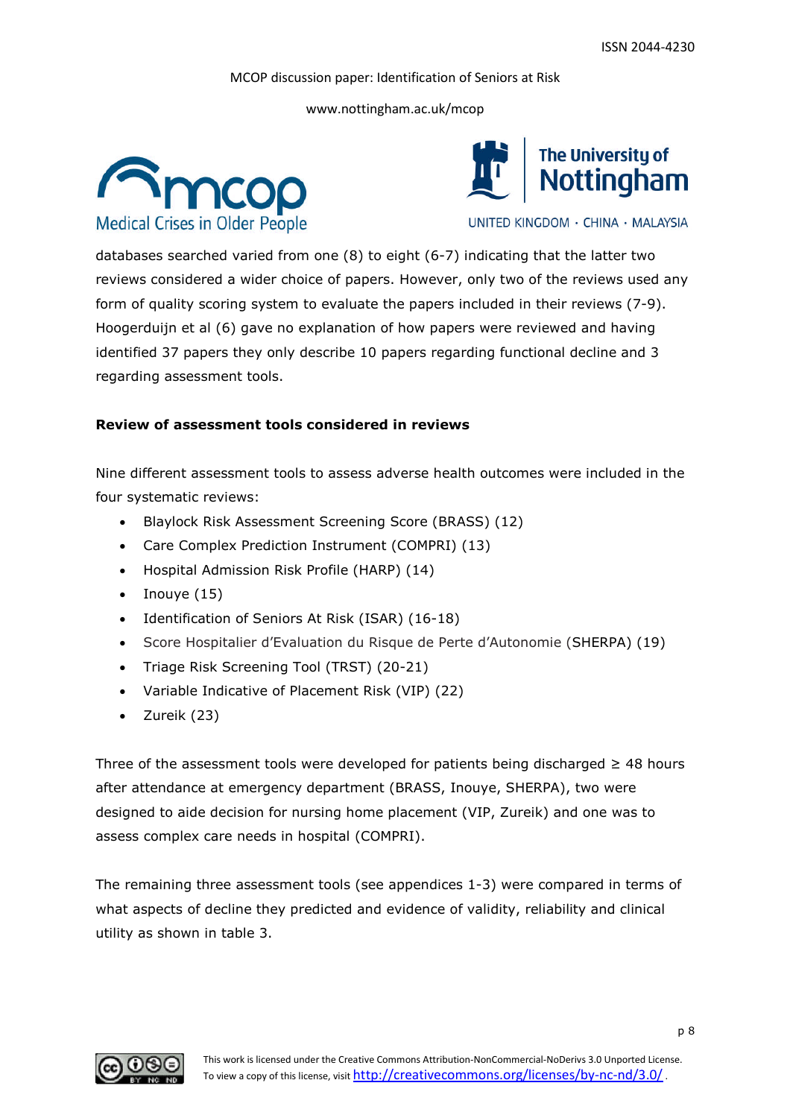www.nottingham.ac.uk/mcop





UNITED KINGDOM · CHINA · MALAYSIA

databases searched varied from one (8) to eight (6-7) indicating that the latter two reviews considered a wider choice of papers. However, only two of the reviews used any form of quality scoring system to evaluate the papers included in their reviews (7-9). Hoogerduijn et al (6) gave no explanation of how papers were reviewed and having identified 37 papers they only describe 10 papers regarding functional decline and 3 regarding assessment tools.

#### **Review of assessment tools considered in reviews**

Nine different assessment tools to assess adverse health outcomes were included in the four systematic reviews:

- Blaylock Risk Assessment Screening Score (BRASS) (12)
- Care Complex Prediction Instrument (COMPRI) (13)
- Hospital Admission Risk Profile (HARP) (14)
- $\bullet$  Inouye (15)
- Identification of Seniors At Risk (ISAR) (16-18)
- Score Hospitalier d'Evaluation du Risque de Perte d'Autonomie (SHERPA) (19)
- Triage Risk Screening Tool (TRST) (20-21)
- Variable Indicative of Placement Risk (VIP) (22)
- Zureik (23)

Three of the assessment tools were developed for patients being discharged  $\geq$  48 hours after attendance at emergency department (BRASS, Inouye, SHERPA), two were designed to aide decision for nursing home placement (VIP, Zureik) and one was to assess complex care needs in hospital (COMPRI).

The remaining three assessment tools (see appendices 1-3) were compared in terms of what aspects of decline they predicted and evidence of validity, reliability and clinical utility as shown in table 3.

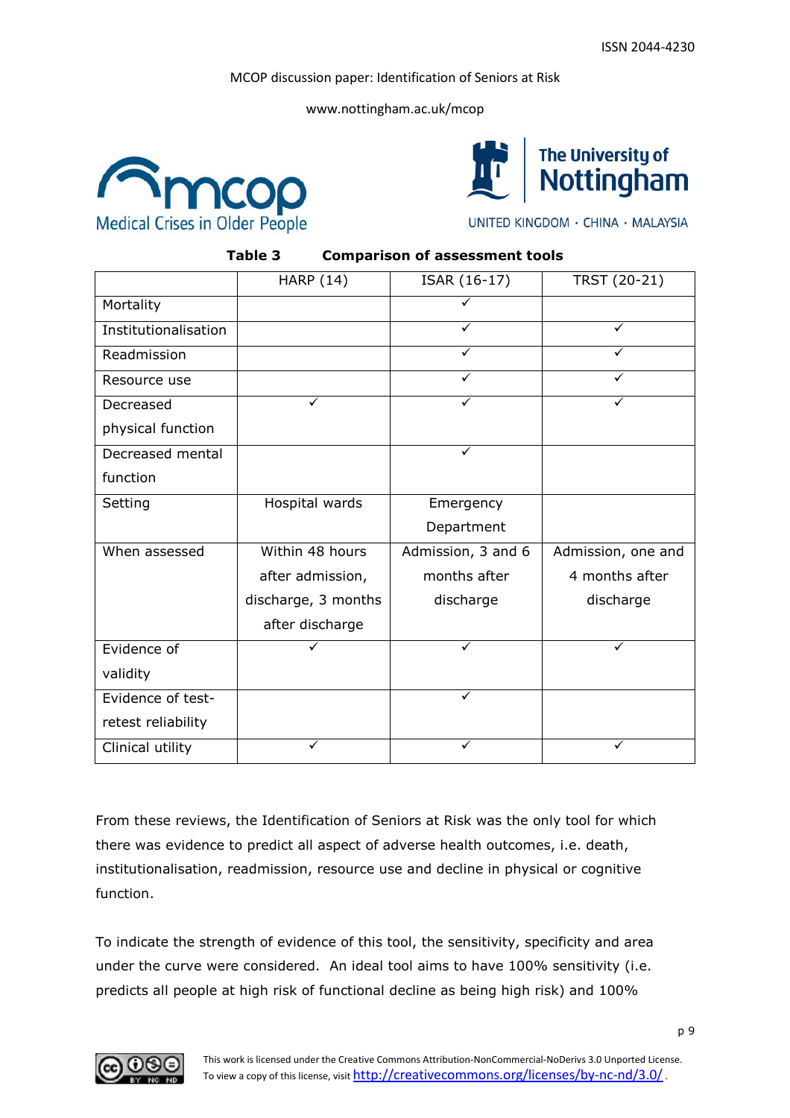www.nottingham.ac.uk/mcop





UNITED KINGDOM · CHINA · MALAYSIA

# **Table 3 Comparison of assessment tools**

|                      | <b>HARP (14)</b>    | ISAR (16-17)       | TRST (20-21)       |
|----------------------|---------------------|--------------------|--------------------|
| Mortality            |                     |                    |                    |
| Institutionalisation |                     |                    |                    |
| Readmission          |                     | ✓                  |                    |
| Resource use         |                     | ✓                  | ✓                  |
| Decreased            | ✓                   | ✓                  | ✓                  |
| physical function    |                     |                    |                    |
| Decreased mental     |                     | ✓                  |                    |
| function             |                     |                    |                    |
| Setting              | Hospital wards      | Emergency          |                    |
|                      |                     | Department         |                    |
| When assessed        | Within 48 hours     | Admission, 3 and 6 | Admission, one and |
|                      | after admission,    | months after       | 4 months after     |
|                      | discharge, 3 months | discharge          | discharge          |
|                      | after discharge     |                    |                    |
| Evidence of          |                     |                    |                    |
| validity             |                     |                    |                    |
| Evidence of test-    |                     | ✓                  |                    |
| retest reliability   |                     |                    |                    |
| Clinical utility     |                     |                    |                    |

From these reviews, the Identification of Seniors at Risk was the only tool for which there was evidence to predict all aspect of adverse health outcomes, i.e. death, institutionalisation, readmission, resource use and decline in physical or cognitive function.

To indicate the strength of evidence of this tool, the sensitivity, specificity and area under the curve were considered. An ideal tool aims to have 100% sensitivity (i.e. predicts all people at high risk of functional decline as being high risk) and 100%

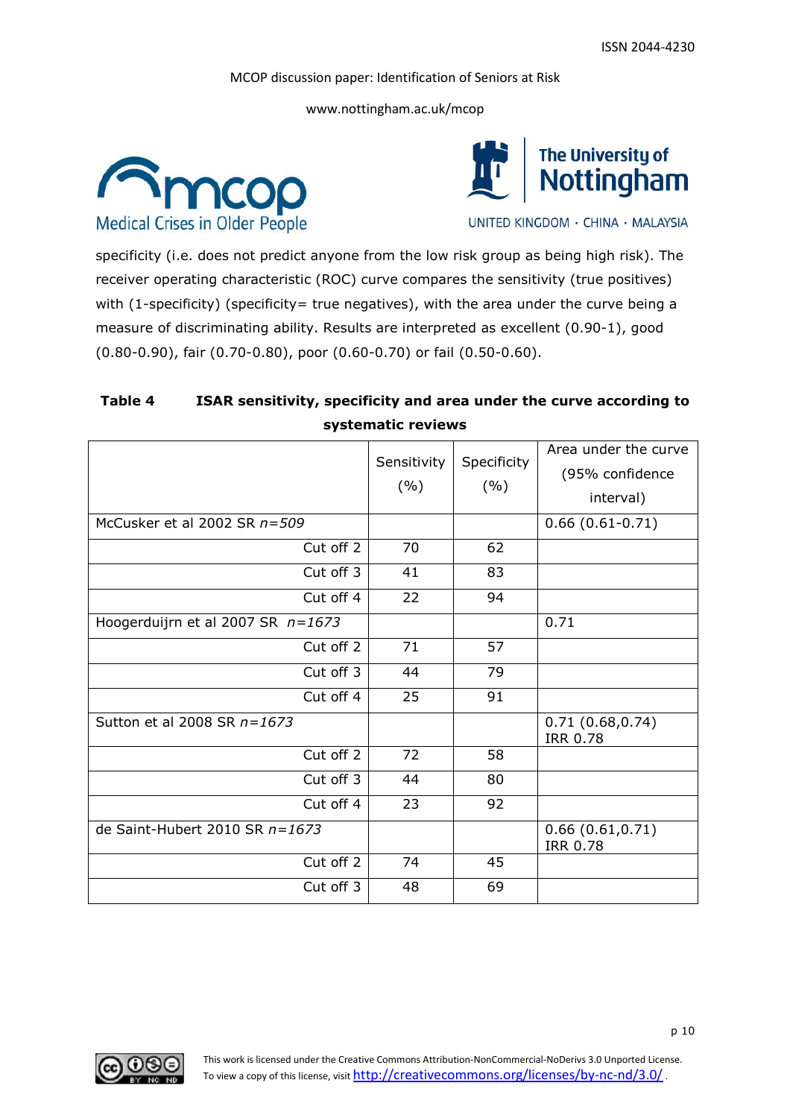www.nottingham.ac.uk/mcop





UNITED KINGDOM · CHINA · MALAYSIA

specificity (i.e. does not predict anyone from the low risk group as being high risk). The receiver operating characteristic (ROC) curve compares the sensitivity (true positives) with (1-specificity) (specificity= true negatives), with the area under the curve being a measure of discriminating ability. Results are interpreted as excellent (0.90-1), good (0.80-0.90), fair (0.70-0.80), poor (0.60-0.70) or fail (0.50-0.60).

# **Table 4 ISAR sensitivity, specificity and area under the curve according to systematic reviews**

|                                     | Sensitivity<br>(%) | Specificity<br>(%) | Area under the curve<br>(95% confidence<br>interval) |
|-------------------------------------|--------------------|--------------------|------------------------------------------------------|
| McCusker et al 2002 SR n=509        |                    |                    | $0.66(0.61-0.71)$                                    |
| Cut off 2                           | 70                 | 62                 |                                                      |
| Cut off 3                           | 41                 | 83                 |                                                      |
| Cut off 4                           | 22                 | 94                 |                                                      |
| Hoogerduijrn et al 2007 SR $n=1673$ |                    |                    | 0.71                                                 |
| Cut off 2                           | 71                 | 57                 |                                                      |
| Cut off 3                           | 44                 | 79                 |                                                      |
| Cut off 4                           | 25                 | 91                 |                                                      |
| Sutton et al 2008 SR $n=1673$       |                    |                    | 0.71(0.68, 0.74)<br><b>IRR 0.78</b>                  |
| Cut off 2                           | 72                 | 58                 |                                                      |
| Cut off 3                           | 44                 | 80                 |                                                      |
| Cut off 4                           | 23                 | 92                 |                                                      |
| de Saint-Hubert 2010 SR $n=1673$    |                    |                    | 0.66(0.61, 0.71)<br><b>IRR 0.78</b>                  |
| Cut off 2                           | 74                 | 45                 |                                                      |
| Cut off 3                           | 48                 | 69                 |                                                      |

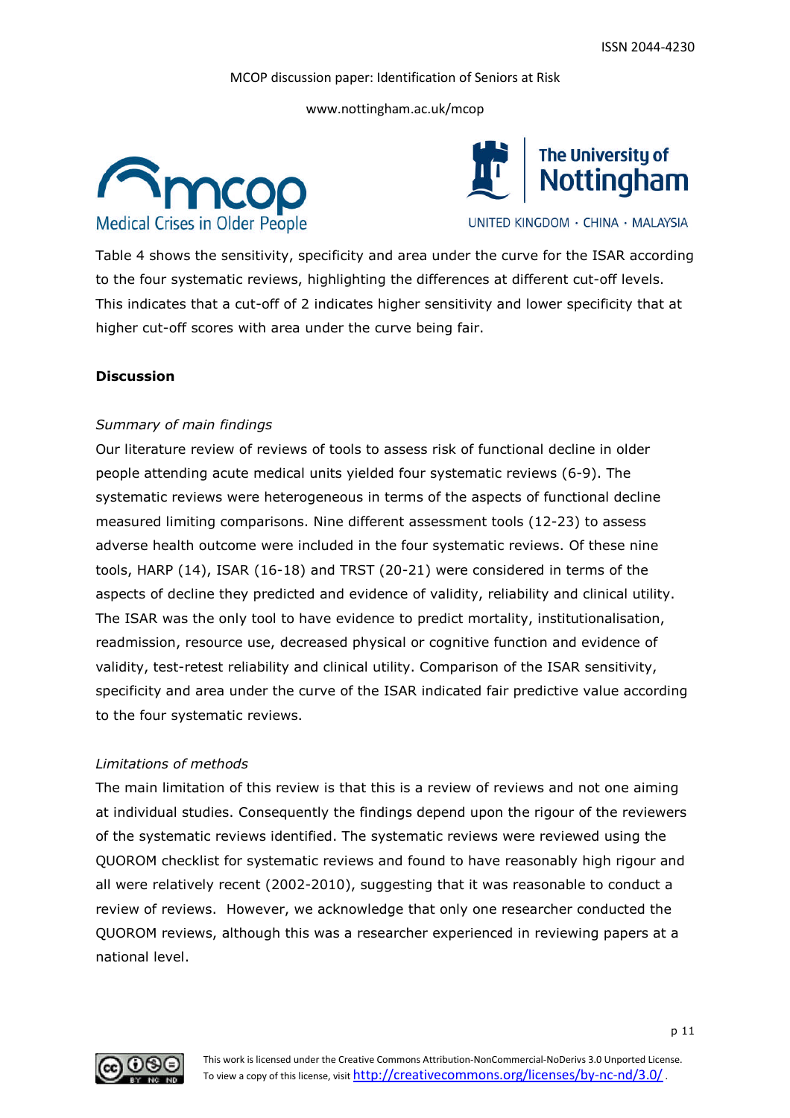www.nottingham.ac.uk/mcop





UNITED KINGDOM · CHINA · MALAYSIA

Table 4 shows the sensitivity, specificity and area under the curve for the ISAR according to the four systematic reviews, highlighting the differences at different cut-off levels. This indicates that a cut-off of 2 indicates higher sensitivity and lower specificity that at higher cut-off scores with area under the curve being fair.

#### **Discussion**

#### *Summary of main findings*

Our literature review of reviews of tools to assess risk of functional decline in older people attending acute medical units yielded four systematic reviews (6-9). The systematic reviews were heterogeneous in terms of the aspects of functional decline measured limiting comparisons. Nine different assessment tools (12-23) to assess adverse health outcome were included in the four systematic reviews. Of these nine tools, HARP (14), ISAR (16-18) and TRST (20-21) were considered in terms of the aspects of decline they predicted and evidence of validity, reliability and clinical utility. The ISAR was the only tool to have evidence to predict mortality, institutionalisation, readmission, resource use, decreased physical or cognitive function and evidence of validity, test-retest reliability and clinical utility. Comparison of the ISAR sensitivity, specificity and area under the curve of the ISAR indicated fair predictive value according to the four systematic reviews.

#### *Limitations of methods*

The main limitation of this review is that this is a review of reviews and not one aiming at individual studies. Consequently the findings depend upon the rigour of the reviewers of the systematic reviews identified. The systematic reviews were reviewed using the QUOROM checklist for systematic reviews and found to have reasonably high rigour and all were relatively recent (2002-2010), suggesting that it was reasonable to conduct a review of reviews. However, we acknowledge that only one researcher conducted the QUOROM reviews, although this was a researcher experienced in reviewing papers at a national level.

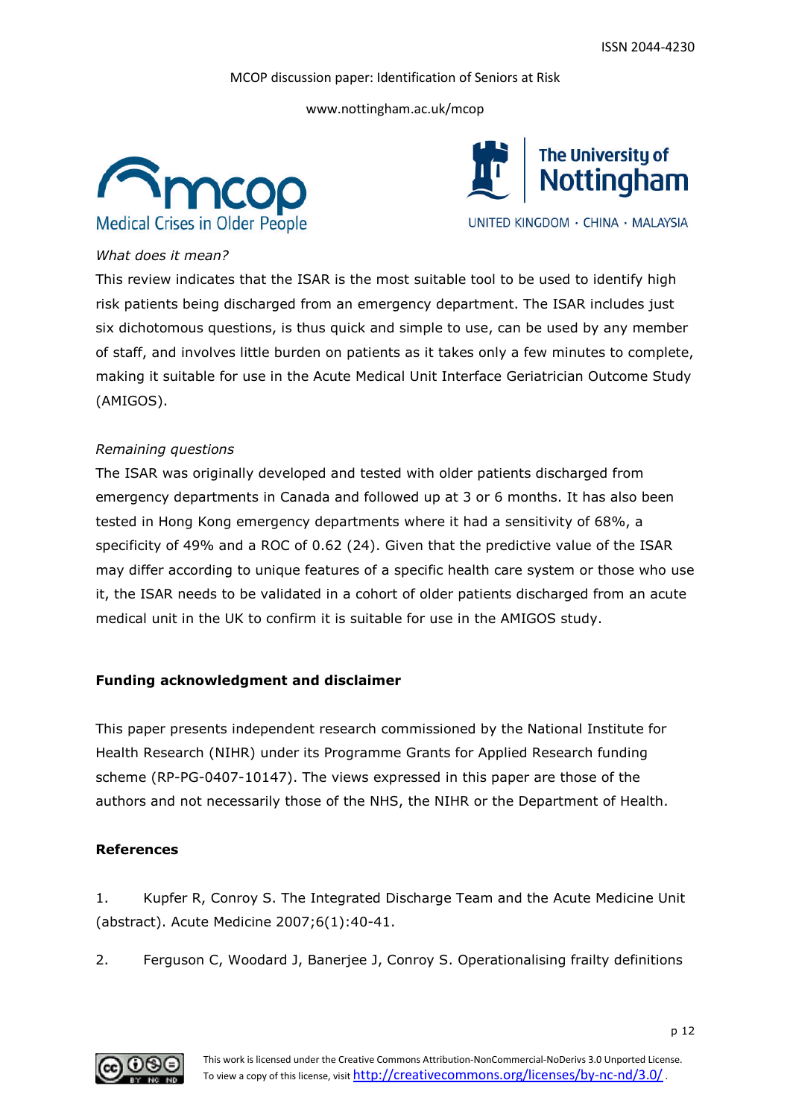www.nottingham.ac.uk/mcop





UNITED KINGDOM · CHINA · MALAYSIA

#### *What does it mean?*

This review indicates that the ISAR is the most suitable tool to be used to identify high risk patients being discharged from an emergency department. The ISAR includes just six dichotomous questions, is thus quick and simple to use, can be used by any member of staff, and involves little burden on patients as it takes only a few minutes to complete, making it suitable for use in the Acute Medical Unit Interface Geriatrician Outcome Study (AMIGOS).

#### *Remaining questions*

The ISAR was originally developed and tested with older patients discharged from emergency departments in Canada and followed up at 3 or 6 months. It has also been tested in Hong Kong emergency departments where it had a sensitivity of 68%, a specificity of 49% and a ROC of 0.62 (24). Given that the predictive value of the ISAR may differ according to unique features of a specific health care system or those who use it, the ISAR needs to be validated in a cohort of older patients discharged from an acute medical unit in the UK to confirm it is suitable for use in the AMIGOS study.

#### **Funding acknowledgment and disclaimer**

This paper presents independent research commissioned by the National Institute for Health Research (NIHR) under its Programme Grants for Applied Research funding scheme (RP-PG-0407-10147). The views expressed in this paper are those of the authors and not necessarily those of the NHS, the NIHR or the Department of Health.

#### **References**

1. Kupfer R, Conroy S. The Integrated Discharge Team and the Acute Medicine Unit (abstract). Acute Medicine 2007;6(1):40-41.

2. Ferguson C, Woodard J, Banerjee J, Conroy S. Operationalising frailty definitions

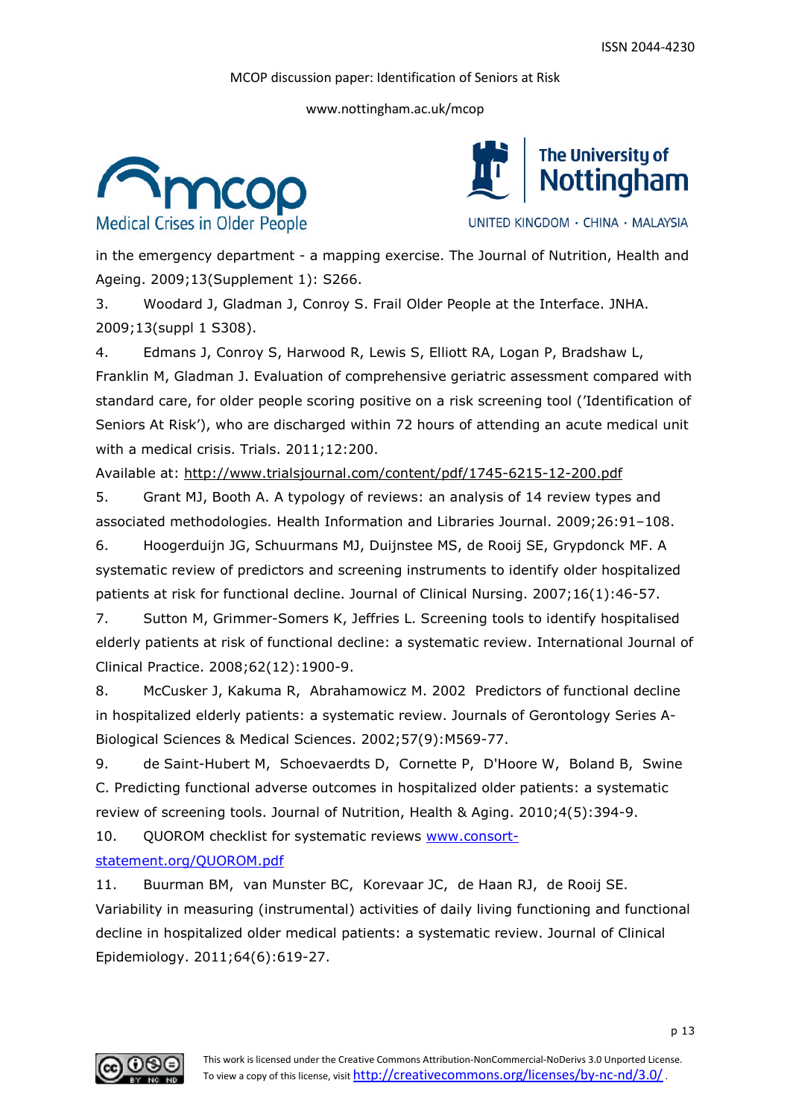www.nottingham.ac.uk/mcop





UNITED KINGDOM · CHINA · MALAYSIA

in the emergency department - a mapping exercise. The Journal of Nutrition, Health and Ageing. 2009;13(Supplement 1): S266.

3. Woodard J, Gladman J, Conroy S. Frail Older People at the Interface. JNHA. 2009;13(suppl 1 S308).

4. Edmans J, Conroy S, Harwood R, Lewis S, Elliott RA, Logan P, Bradshaw L, Franklin M, Gladman J. Evaluation of comprehensive geriatric assessment compared with standard care, for older people scoring positive on a risk screening tool ('Identification of Seniors At Risk'), who are discharged within 72 hours of attending an acute medical unit with a medical crisis. Trials. 2011;12:200.

Available at: http://www.trialsjournal.com/content/pdf/1745-6215-12-200.pdf

5. Grant MJ, Booth A. A typology of reviews: an analysis of 14 review types and associated methodologies. Health Information and Libraries Journal. 2009;26:91–108.

6. Hoogerduijn JG, Schuurmans MJ, Duijnstee MS, de Rooij SE, Grypdonck MF. A systematic review of predictors and screening instruments to identify older hospitalized patients at risk for functional decline. Journal of Clinical Nursing. 2007;16(1):46-57.

7. Sutton M, Grimmer-Somers K, Jeffries L. Screening tools to identify hospitalised elderly patients at risk of functional decline: a systematic review. International Journal of Clinical Practice. 2008;62(12):1900-9.

8. McCusker J, Kakuma R, Abrahamowicz M. 2002 Predictors of functional decline in hospitalized elderly patients: a systematic review. Journals of Gerontology Series A-Biological Sciences & Medical Sciences. 2002;57(9):M569-77.

9. de Saint-Hubert M, Schoevaerdts D, Cornette P, D'Hoore W, Boland B, Swine C. Predicting functional adverse outcomes in hospitalized older patients: a systematic review of screening tools. Journal of Nutrition, Health & Aging. 2010;4(5):394-9.

10. QUOROM checklist for systematic reviews www.consort-

#### statement.org/QUOROM.pdf

11. Buurman BM, van Munster BC, Korevaar JC, de Haan RJ, de Rooij SE. Variability in measuring (instrumental) activities of daily living functioning and functional decline in hospitalized older medical patients: a systematic review. Journal of Clinical Epidemiology. 2011;64(6):619-27.

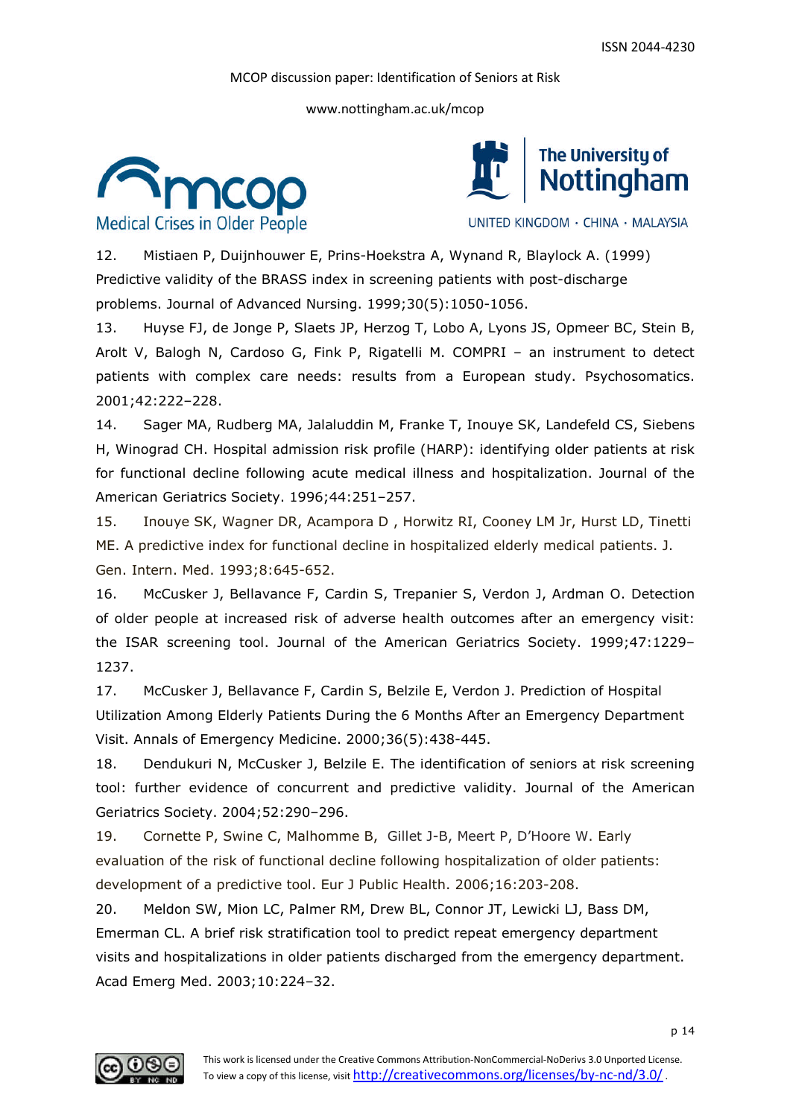www.nottingham.ac.uk/mcop





UNITED KINGDOM · CHINA · MALAYSIA

12. Mistiaen P, Duijnhouwer E, Prins-Hoekstra A, Wynand R, Blaylock A. (1999) Predictive validity of the BRASS index in screening patients with post-discharge problems. Journal of Advanced Nursing. 1999;30(5):1050-1056.

13. Huyse FJ, de Jonge P, Slaets JP, Herzog T, Lobo A, Lyons JS, Opmeer BC, Stein B, Arolt V, Balogh N, Cardoso G, Fink P, Rigatelli M. COMPRI – an instrument to detect patients with complex care needs: results from a European study. Psychosomatics. 2001;42:222–228.

14. Sager MA, Rudberg MA, Jalaluddin M, Franke T, Inouye SK, Landefeld CS, Siebens H, Winograd CH. Hospital admission risk profile (HARP): identifying older patients at risk for functional decline following acute medical illness and hospitalization. Journal of the American Geriatrics Society. 1996;44:251–257.

15. Inouye SK, Wagner DR, Acampora D , Horwitz RI, Cooney LM Jr, Hurst LD, Tinetti ME. A predictive index for functional decline in hospitalized elderly medical patients. J. Gen. Intern. Med. 1993;8:645-652.

16. McCusker J, Bellavance F, Cardin S, Trepanier S, Verdon J, Ardman O. Detection of older people at increased risk of adverse health outcomes after an emergency visit: the ISAR screening tool. Journal of the American Geriatrics Society. 1999;47:1229– 1237.

17. McCusker J, Bellavance F, Cardin S, Belzile E, Verdon J. Prediction of Hospital Utilization Among Elderly Patients During the 6 Months After an Emergency Department Visit. Annals of Emergency Medicine. 2000;36(5):438-445.

18. Dendukuri N, McCusker J, Belzile E. The identification of seniors at risk screening tool: further evidence of concurrent and predictive validity. Journal of the American Geriatrics Society. 2004;52:290–296.

19. Cornette P, Swine C, Malhomme B, Gillet J-B, Meert P, D'Hoore W. Early evaluation of the risk of functional decline following hospitalization of older patients: development of a predictive tool. Eur J Public Health. 2006;16:203-208.

20. Meldon SW, Mion LC, Palmer RM, Drew BL, Connor JT, Lewicki LJ, Bass DM, Emerman CL. A brief risk stratification tool to predict repeat emergency department visits and hospitalizations in older patients discharged from the emergency department. Acad Emerg Med. 2003;10:224–32.

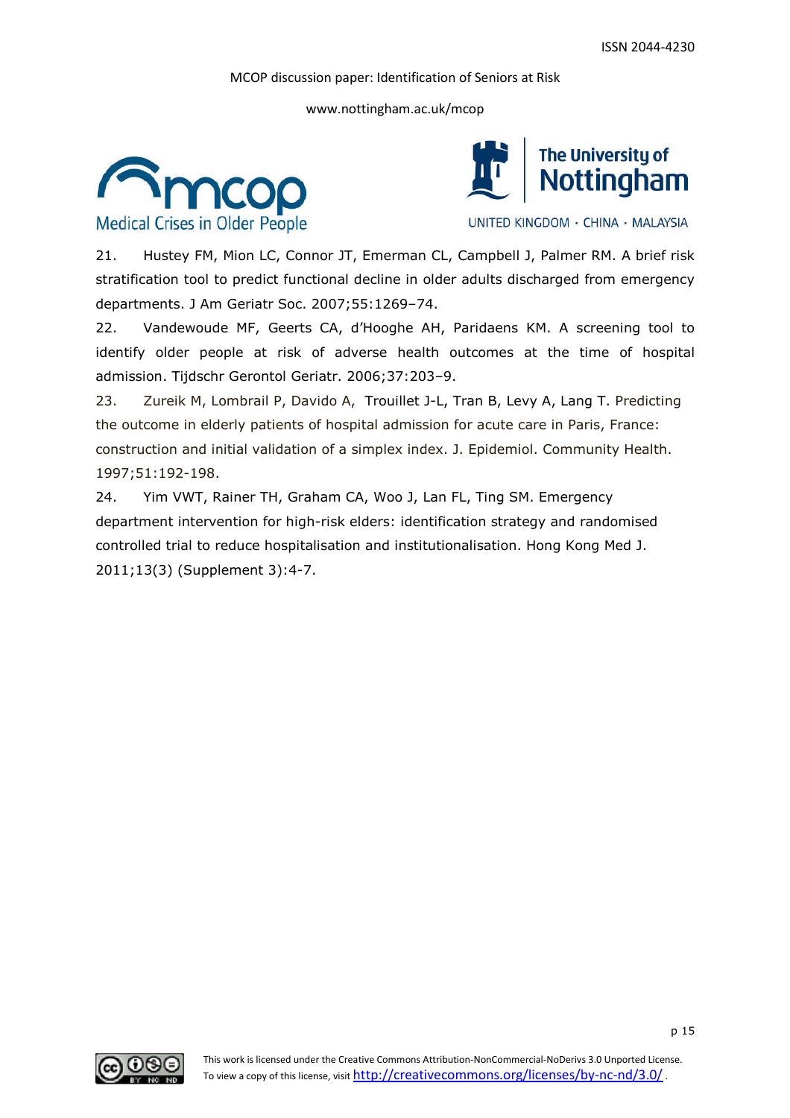www.nottingham.ac.uk/mcop





UNITED KINGDOM · CHINA · MALAYSIA

21. Hustey FM, Mion LC, Connor JT, Emerman CL, Campbell J, Palmer RM. A brief risk stratification tool to predict functional decline in older adults discharged from emergency departments. J Am Geriatr Soc. 2007;55:1269–74.

22. Vandewoude MF, Geerts CA, d'Hooghe AH, Paridaens KM. A screening tool to identify older people at risk of adverse health outcomes at the time of hospital admission. Tijdschr Gerontol Geriatr. 2006;37:203–9.

23. Zureik M, Lombrail P, Davido A, Trouillet J-L, Tran B, Levy A, Lang T. Predicting the outcome in elderly patients of hospital admission for acute care in Paris, France: construction and initial validation of a simplex index. J. Epidemiol. Community Health. 1997;51:192-198.

24. Yim VWT, Rainer TH, Graham CA, Woo J, Lan FL, Ting SM. Emergency department intervention for high-risk elders: identification strategy and randomised controlled trial to reduce hospitalisation and institutionalisation. Hong Kong Med J. 2011;13(3) (Supplement 3):4-7.

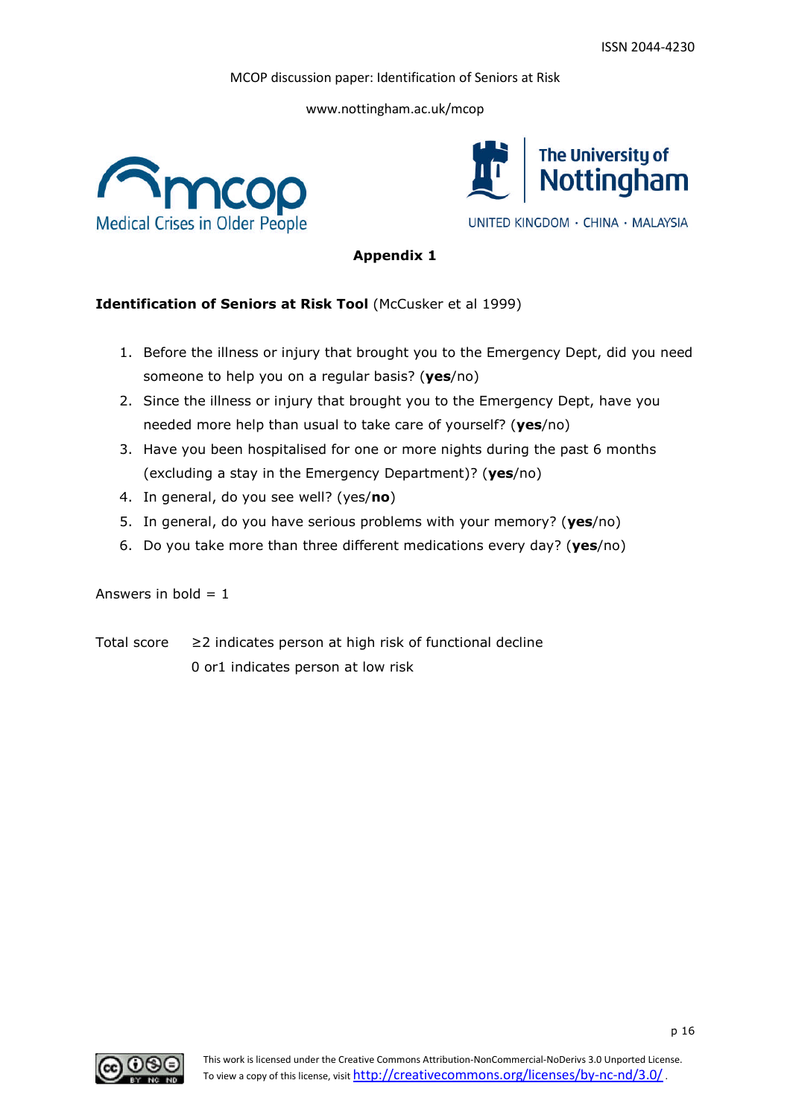www.nottingham.ac.uk/mcop





UNITED KINGDOM · CHINA · MALAYSIA

# **Appendix 1**

# **Identification of Seniors at Risk Tool** (McCusker et al 1999)

- 1. Before the illness or injury that brought you to the Emergency Dept, did you need someone to help you on a regular basis? (**yes**/no)
- 2. Since the illness or injury that brought you to the Emergency Dept, have you needed more help than usual to take care of yourself? (**yes**/no)
- 3. Have you been hospitalised for one or more nights during the past 6 months (excluding a stay in the Emergency Department)? (**yes**/no)
- 4. In general, do you see well? (yes/**no**)
- 5. In general, do you have serious problems with your memory? (**yes**/no)
- 6. Do you take more than three different medications every day? (**yes**/no)

#### Answers in bold  $= 1$

Total score ≥2 indicates person at high risk of functional decline 0 or1 indicates person at low risk

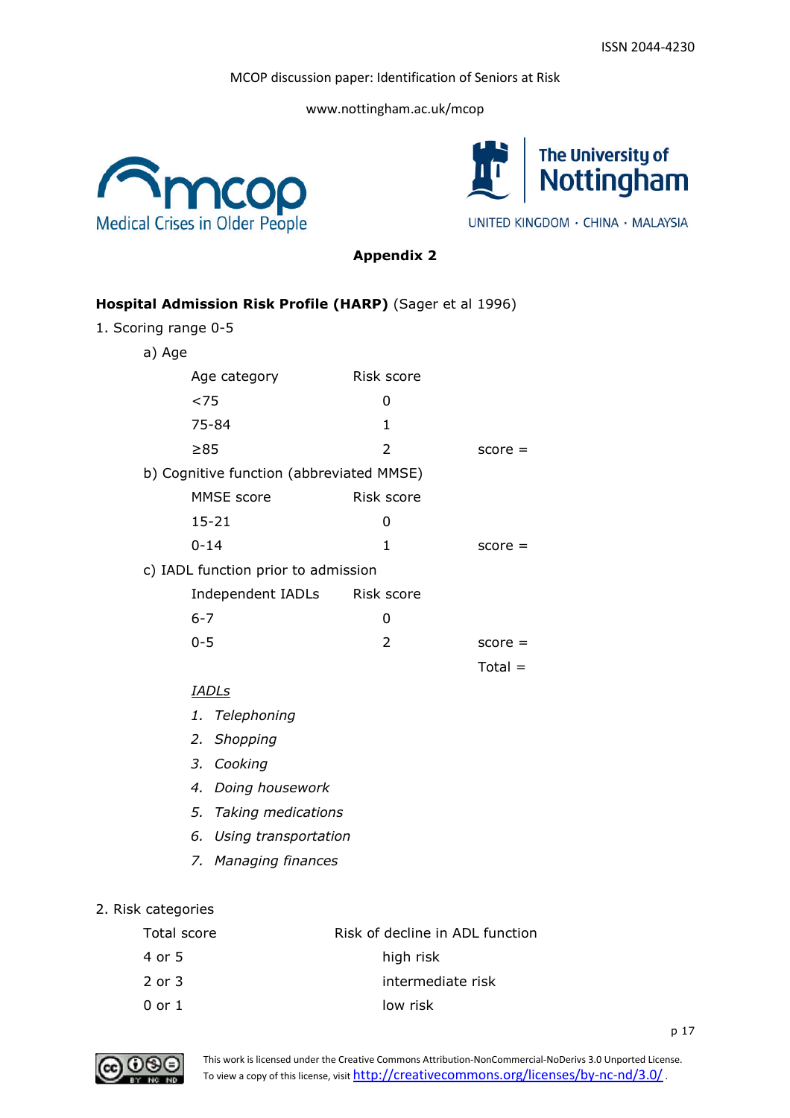www.nottingham.ac.uk/mcop





UNITED KINGDOM · CHINA · MALAYSIA

**Appendix 2**

# **Hospital Admission Risk Profile (HARP)** (Sager et al 1996)

1. Scoring range 0-5

a) Age

| Age category                             | Risk score |           |
|------------------------------------------|------------|-----------|
| ${<}75$                                  | O          |           |
| 75-84                                    | 1          |           |
| $\geq 85$                                | 2          | $score =$ |
| b) Cognitive function (abbreviated MMSE) |            |           |
| MMSE score                               | Risk score |           |
| $15 - 21$                                | 0          |           |
| $0 - 14$                                 | 1          | $score =$ |
| c) IADL function prior to admission      |            |           |
| Independent IADLs                        | Risk score |           |
| $6 - 7$                                  | 0          |           |
| 0-5                                      | 2          | score     |

# $Total =$

- *IADLs*
- *1. Telephoning*
- *2. Shopping*
- *3. Cooking*
- *4. Doing housework*
- *5. Taking medications*
- *6. Using transportation*
- *7. Managing finances*

# 2. Risk categories

| Total score | Risk of decline in ADL function |
|-------------|---------------------------------|
| 4 or 5      | high risk                       |
| 2 or 3      | intermediate risk               |
| 0 or 1      | low risk                        |